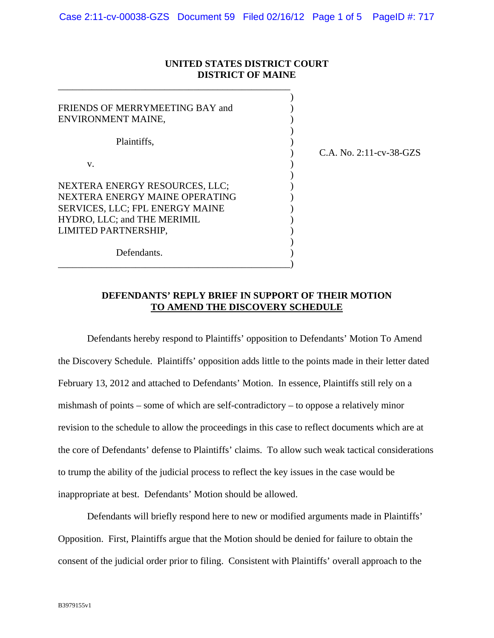## **UNITED STATES DISTRICT COURT DISTRICT OF MAINE**

\_\_\_\_\_\_\_\_\_\_\_\_\_\_\_\_\_\_\_\_\_\_\_\_\_\_\_\_\_\_\_\_\_\_\_\_\_\_\_\_\_\_\_\_\_\_\_\_

| FRIENDS OF MERRYMEETING BAY and<br>ENVIRONMENT MAINE,                                                                                                      |                         |
|------------------------------------------------------------------------------------------------------------------------------------------------------------|-------------------------|
| Plaintiffs,<br>V.                                                                                                                                          | C.A. No. 2:11-cv-38-GZS |
| NEXTERA ENERGY RESOURCES, LLC;<br>NEXTERA ENERGY MAINE OPERATING<br>SERVICES, LLC; FPL ENERGY MAINE<br>HYDRO, LLC; and THE MERIMIL<br>LIMITED PARTNERSHIP, |                         |
| Defendants.                                                                                                                                                |                         |

## **DEFENDANTS' REPLY BRIEF IN SUPPORT OF THEIR MOTION TO AMEND THE DISCOVERY SCHEDULE**

Defendants hereby respond to Plaintiffs' opposition to Defendants' Motion To Amend the Discovery Schedule. Plaintiffs' opposition adds little to the points made in their letter dated February 13, 2012 and attached to Defendants' Motion. In essence, Plaintiffs still rely on a mishmash of points – some of which are self-contradictory – to oppose a relatively minor revision to the schedule to allow the proceedings in this case to reflect documents which are at the core of Defendants' defense to Plaintiffs' claims. To allow such weak tactical considerations to trump the ability of the judicial process to reflect the key issues in the case would be inappropriate at best. Defendants' Motion should be allowed.

Defendants will briefly respond here to new or modified arguments made in Plaintiffs' Opposition. First, Plaintiffs argue that the Motion should be denied for failure to obtain the consent of the judicial order prior to filing. Consistent with Plaintiffs' overall approach to the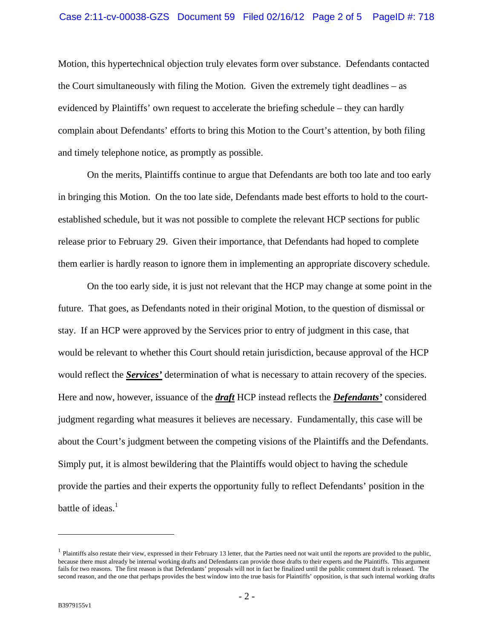Motion, this hypertechnical objection truly elevates form over substance. Defendants contacted the Court simultaneously with filing the Motion. Given the extremely tight deadlines – as evidenced by Plaintiffs' own request to accelerate the briefing schedule – they can hardly complain about Defendants' efforts to bring this Motion to the Court's attention, by both filing and timely telephone notice, as promptly as possible.

On the merits, Plaintiffs continue to argue that Defendants are both too late and too early in bringing this Motion. On the too late side, Defendants made best efforts to hold to the courtestablished schedule, but it was not possible to complete the relevant HCP sections for public release prior to February 29. Given their importance, that Defendants had hoped to complete them earlier is hardly reason to ignore them in implementing an appropriate discovery schedule.

On the too early side, it is just not relevant that the HCP may change at some point in the future. That goes, as Defendants noted in their original Motion, to the question of dismissal or stay. If an HCP were approved by the Services prior to entry of judgment in this case, that would be relevant to whether this Court should retain jurisdiction, because approval of the HCP would reflect the *Services'* determination of what is necessary to attain recovery of the species. Here and now, however, issuance of the *draft* HCP instead reflects the *Defendants'* considered judgment regarding what measures it believes are necessary. Fundamentally, this case will be about the Court's judgment between the competing visions of the Plaintiffs and the Defendants. Simply put, it is almost bewildering that the Plaintiffs would object to having the schedule provide the parties and their experts the opportunity fully to reflect Defendants' position in the battle of ideas. $<sup>1</sup>$ </sup>

1

<sup>&</sup>lt;sup>1</sup> Plaintiffs also restate their view, expressed in their February 13 letter, that the Parties need not wait until the reports are provided to the public, because there must already be internal working drafts and Defendants can provide those drafts to their experts and the Plaintiffs. This argument fails for two reasons. The first reason is that Defendants' proposals will not in fact be finalized until the public comment draft is released. The second reason, and the one that perhaps provides the best window into the true basis for Plaintiffs' opposition, is that such internal working drafts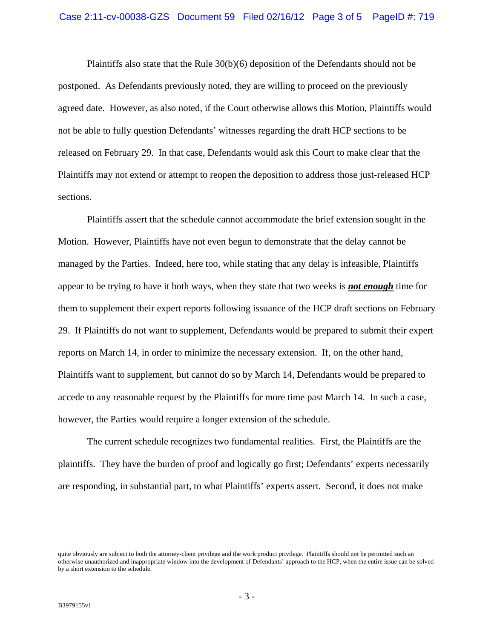Plaintiffs also state that the Rule 30(b)(6) deposition of the Defendants should not be postponed. As Defendants previously noted, they are willing to proceed on the previously agreed date. However, as also noted, if the Court otherwise allows this Motion, Plaintiffs would not be able to fully question Defendants' witnesses regarding the draft HCP sections to be released on February 29. In that case, Defendants would ask this Court to make clear that the Plaintiffs may not extend or attempt to reopen the deposition to address those just-released HCP sections.

Plaintiffs assert that the schedule cannot accommodate the brief extension sought in the Motion. However, Plaintiffs have not even begun to demonstrate that the delay cannot be managed by the Parties. Indeed, here too, while stating that any delay is infeasible, Plaintiffs appear to be trying to have it both ways, when they state that two weeks is *not enough* time for them to supplement their expert reports following issuance of the HCP draft sections on February 29. If Plaintiffs do not want to supplement, Defendants would be prepared to submit their expert reports on March 14, in order to minimize the necessary extension. If, on the other hand, Plaintiffs want to supplement, but cannot do so by March 14, Defendants would be prepared to accede to any reasonable request by the Plaintiffs for more time past March 14. In such a case, however, the Parties would require a longer extension of the schedule.

The current schedule recognizes two fundamental realities. First, the Plaintiffs are the plaintiffs. They have the burden of proof and logically go first; Defendants' experts necessarily are responding, in substantial part, to what Plaintiffs' experts assert. Second, it does not make

quite obviously are subject to both the attorney-client privilege and the work product privilege. Plaintiffs should not be permitted such an otherwise unauthorized and inappropriate window into the development of Defendants' approach to the HCP, when the entire issue can be solved by a short extension to the schedule.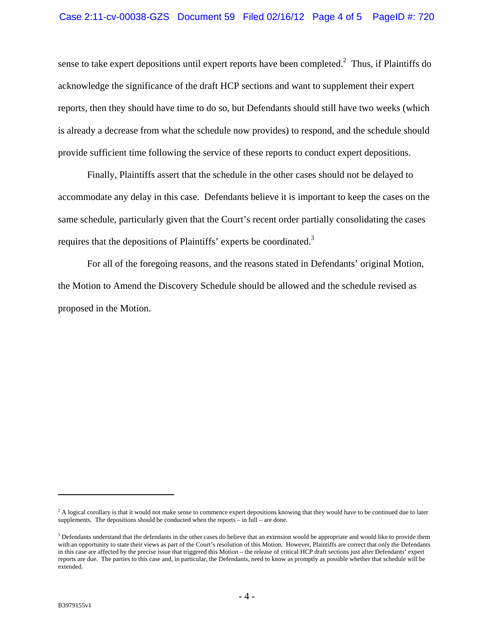## Case 2:11-cv-00038-GZS Document 59 Filed 02/16/12 Page 4 of 5 PageID #: 720

sense to take expert depositions until expert reports have been completed. $2$  Thus, if Plaintiffs do acknowledge the significance of the draft HCP sections and want to supplement their expert reports, then they should have time to do so, but Defendants should still have two weeks (which is already a decrease from what the schedule now provides) to respond, and the schedule should provide sufficient time following the service of these reports to conduct expert depositions.

Finally, Plaintiffs assert that the schedule in the other cases should not be delayed to accommodate any delay in this case. Defendants believe it is important to keep the cases on the same schedule, particularly given that the Court's recent order partially consolidating the cases requires that the depositions of Plaintiffs' experts be coordinated.<sup>3</sup>

For all of the foregoing reasons, and the reasons stated in Defendants' original Motion, the Motion to Amend the Discovery Schedule should be allowed and the schedule revised as proposed in the Motion.

 $\overline{a}$ 

 $<sup>2</sup>$  A logical corollary is that it would not make sense to commence expert depositions knowing that they would have to be continued due to later</sup> supplements. The depositions should be conducted when the reports – in full – are done.

 $3$  Defendants understand that the defendants in the other cases do believe that an extension would be appropriate and would like to provide them with an opportunity to state their views as part of the Court's resolution of this Motion. However, Plaintiffs are correct that only the Defendants in this case are affected by the precise issue that triggered this Motion – the release of critical HCP draft sections just after Defendants' expert reports are due. The parties to this case and, in particular, the Defendants, need to know as promptly as possible whether that schedule will be extended.